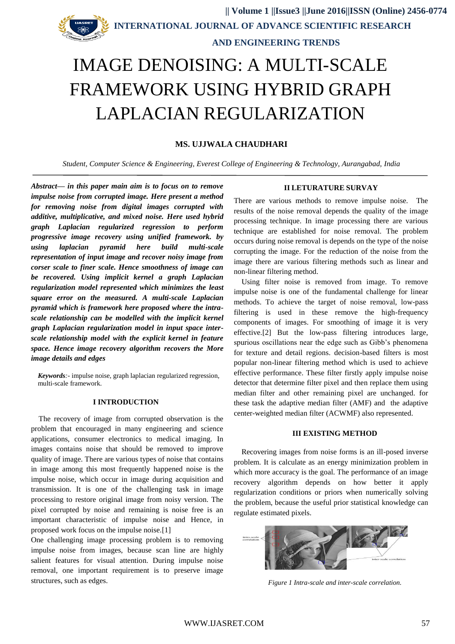# **AND ENGINEERING TRENDS**

# IMAGE DENOISING: A MULTI-SCALE FRAMEWORK USING HYBRID GRAPH LAPLACIAN REGULARIZATION

# **MS. UJJWALA CHAUDHARI**

*Student, Computer Science & Engineering, Everest College of Engineering & Technology, Aurangabad, India*

*Abstract***—** *in this paper main aim is to focus on to remove impulse noise from corrupted image. Here present a method for removing noise from digital images corrupted with additive, multiplicative, and mixed noise. Here used hybrid graph Laplacian regularized regression to perform progressive image recovery using unified framework. by using laplacian pyramid here build multi-scale representation of input image and recover noisy image from corser scale to finer scale. Hence smoothness of image can be recovered. Using implicit kernel a graph Laplacian regularization model represented which minimizes the least square error on the measured. A multi-scale Laplacian pyramid which is framework here proposed where the intrascale relationship can be modelled with the implicit kernel graph Laplacian regularization model in input space interscale relationship model with the explicit kernel in feature space. Hence image recovery algorithm recovers the More image details and edges*

*Keywords:-* impulse noise, graph laplacian regularized regression, multi-scale framework.

# **I INTRODUCTION**

The recovery of image from corrupted observation is the problem that encouraged in many engineering and science applications, consumer electronics to medical imaging. In images contains noise that should be removed to improve quality of image. There are various types of noise that contains in image among this most frequently happened noise is the impulse noise, which occur in image during acquisition and transmission. It is one of the challenging task in image processing to restore original image from noisy version. The pixel corrupted by noise and remaining is noise free is an important characteristic of impulse noise and Hence, in proposed work focus on the impulse noise.[1]

One challenging image processing problem is to removing impulse noise from images, because scan line are highly salient features for visual attention. During impulse noise removal, one important requirement is to preserve image structures, such as edges.

# **II LETURATURE SURVAY**

There are various methods to remove impulse noise. The results of the noise removal depends the quality of the image processing technique. In image processing there are various technique are established for noise removal. The problem occurs during noise removal is depends on the type of the noise corrupting the image. For the reduction of the noise from the image there are various filtering methods such as linear and non-linear filtering method.

Using filter noise is removed from image. To remove impulse noise is one of the fundamental challenge for linear methods. To achieve the target of noise removal, low-pass filtering is used in these remove the high-frequency components of images. For smoothing of image it is very effective.[2] But the low-pass filtering introduces large, spurious oscillations near the edge such as Gibb's phenomena for texture and detail regions. decision-based filters is most popular non-linear filtering method which is used to achieve effective performance. These filter firstly apply impulse noise detector that determine filter pixel and then replace them using median filter and other remaining pixel are unchanged. for these task the adaptive median filter (AMF) and the adaptive center-weighted median filter (ACWMF) also represented.

### **III EXISTING METHOD**

Recovering images from noise forms is an ill-posed inverse problem. It is calculate as an energy minimization problem in which more accuracy is the goal. The performance of an image recovery algorithm depends on how better it apply regularization conditions or priors when numerically solving the problem, because the useful prior statistical knowledge can regulate estimated pixels.



*Figure 1 Intra-scale and inter-scale correlation.*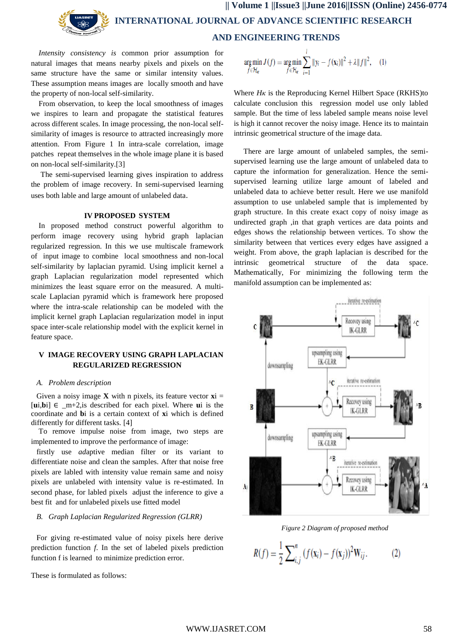**|| Volume 1 ||Issue3 ||June 2016||ISSN (Online) 2456-0774 INTERNATIONAL JOURNAL OF ADVANCE SCIENTIFIC RESEARCH AND ENGINEERING TRENDS**

*Intensity consistency is* common prior assumption for natural images that means nearby pixels and pixels on the same structure have the same or similar intensity values. These assumption means images are locally smooth and have the property of non-local self-similarity.

From observation, to keep the local smoothness of images we inspires to learn and propagate the statistical features across different scales. In image processing, the non-local selfsimilarity of images is resource to attracted increasingly more attention. From Figure 1 In intra-scale correlation, image patches repeat themselves in the whole image plane it is based on non-local self-similarity.[3]

The semi-supervised learning gives inspiration to address the problem of image recovery. In semi-supervised learning uses both lable and large amount of unlabeled data.

# **IV PROPOSED SYSTEM**

In proposed method construct powerful algorithm to perform image recovery using hybrid graph laplacian regularized regression. In this we use multiscale framework of input image to combine local smoothness and non-local self-similarity by laplacian pyramid. Using implicit kernel a graph Laplacian regularization model represented which minimizes the least square error on the measured. A multiscale Laplacian pyramid which is framework here proposed where the intra-scale relationship can be modeled with the implicit kernel graph Laplacian regularization model in input space inter-scale relationship model with the explicit kernel in feature space.

# **V IMAGE RECOVERY USING GRAPH LAPLACIAN REGULARIZED REGRESSION**

#### *A. Problem description*

Given a noisy image **X** with n pixels, its feature vector  $xi$  = [**u**i,**b**i] ∈ \_m+2,is described for each pixel. Where **u**i is the coordinate and **b**i is a certain context of **x**i which is defined differently for different tasks. [4]

To remove impulse noise from image, two steps are implemented to improve the performance of image:

firstly use *ad*aptive median filter or its variant to differentiate noise and clean the samples. After that noise free pixels are labled with intensity value remain same and noisy pixels are unlabeled with intensity value is re-estimated. In second phase, for labled pixels adjust the inference to give a best fit and for unlabeled pixels use fitted model

#### *B. Graph Laplacian Regularized Regression (GLRR)*

For giving re-estimated value of noisy pixels here derive prediction function *f*. In the set of labeled pixels prediction function f is learned to minimize prediction error.

These is formulated as follows:

$$
\underset{f \in \mathcal{H}_{\kappa}}{\arg \min} J(f) = \underset{f \in \mathcal{H}_{\kappa}}{\arg \min} \sum_{i=1}^{l} \|y_i - f(x_i)\|^2 + \lambda \|f\|^2, \quad (1)
$$

Where *Hκ* is the Reproducing Kernel Hilbert Space (RKHS)to calculate conclusion this regression model use only labled sample. But the time of less labeled sample means noise level is high it cannot recover the noisy image. Hence its to maintain intrinsic geometrical structure of the image data.

There are large amount of unlabeled samples, the semisupervised learning use the large amount of unlabeled data to capture the information for generalization. Hence the semisupervised learning utilize large amount of labeled and unlabeled data to achieve better result. Here we use manifold assumption to use unlabeled sample that is implemented by graph structure. In this create exact copy of noisy image as undirected graph ,in that graph vertices are data points and edges shows the relationship between vertices. To show the similarity between that vertices every edges have assigned a weight. From above, the graph laplacian is described for the intrinsic geometrical structure of the data space. Mathematically, For minimizing the following term the manifold assumption can be implemented as:



*Figure 2 Diagram of proposed method*

$$
R(f) = \frac{1}{2} \sum_{i,j}^{n} (f(\mathbf{x}_i) - f(\mathbf{x}_j))^2 W_{ij}.
$$
 (2)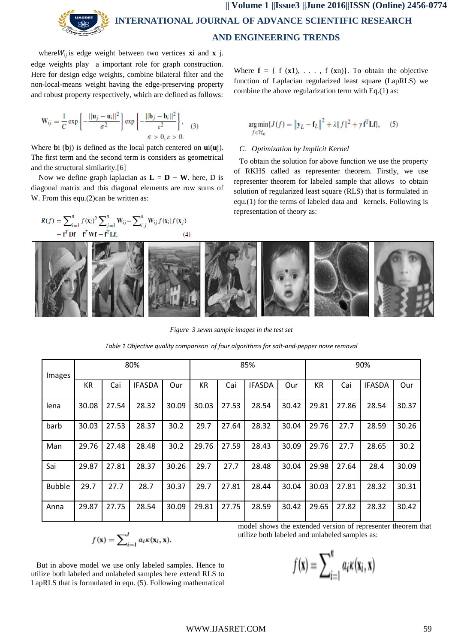where  $W_{ij}$  is edge weight between two vertices **x**i and **x** j. edge weights play a important role for graph construction. Here for design edge weights, combine bilateral filter and the non-local-means weight having the edge-preserving property and robust property respectively, which are defined as follows:

$$
\mathbf{W}_{ij} = \frac{1}{C} \exp\left\{-\frac{||\mathbf{u}_j - \mathbf{u}_i||^2}{\sigma^2}\right\} \exp\left\{-\frac{||\mathbf{b}_j - \mathbf{b}_i||^2}{\varepsilon^2}\right\},\quad(3)
$$

$$
\sigma > 0, \varepsilon > 0.
$$

Where **b**i (**b**j) is defined as the local patch centered on **u**i(**u**j). The first term and the second term is considers as geometrical and the structural similarity.[6]

Now we define graph laplacian as  $\mathbf{L} = \mathbf{D} - \mathbf{W}$ . here, D is diagonal matrix and this diagonal elements are row sums of W. From this equ.(2)can be written as:

$$
R(f) = \sum_{i=1}^{n} f(\mathbf{x}_i)^2 \sum_{j=1}^{n} \mathbf{W}_{ij} - \sum_{i,j}^{n} \mathbf{W}_{ij} f(\mathbf{x}_i) f(\mathbf{x}_j)
$$
  
=  $\mathbf{f}^T \mathbf{D} \mathbf{f} - \mathbf{f}^T \mathbf{W} \mathbf{f} = \mathbf{f}^T \mathbf{L} \mathbf{f},$  (4)

Where  $f = \{ f(x1), \ldots, f(xn) \}$ . To obtain the objective function of Laplacian regularized least square (LapRLS) we combine the above regularization term with Eq.(1) as:

$$
\underset{f \in \mathcal{H}_\kappa}{\arg \min} \{ J(f) = \left\| \mathbf{y}_L - \mathbf{f}_L \right\|^2 + \lambda \| f \|^2 + \gamma \, \mathbf{f}^{\mathrm{T}} \mathbf{L} \mathbf{f} \}, \tag{5}
$$

# *C. Optimization by Implicit Kernel*

To obtain the solution for above function we use the property of RKHS called as representer theorem. Firstly, we use representer theorem for labeled sample that allows to obtain solution of regularized least square (RLS) that is formulated in equ.(1) for the terms of labeled data and kernels. Following is representation of theory as:



*Figure 3 seven sample images in the test set*

*Table 1 Objective quality comparison of four algorithms for salt-and-pepper noise removal*

| Images        | 80%   |       |               |       | 85%   |       |               |       | 90%   |       |               |       |
|---------------|-------|-------|---------------|-------|-------|-------|---------------|-------|-------|-------|---------------|-------|
|               | KR.   | Cai   | <b>IFASDA</b> | Our   | KR    | Cai   | <b>IFASDA</b> | Our   | KR    | Cai   | <b>IFASDA</b> | Our   |
| lena          | 30.08 | 27.54 | 28.32         | 30.09 | 30.03 | 27.53 | 28.54         | 30.42 | 29.81 | 27.86 | 28.54         | 30.37 |
| barb          | 30.03 | 27.53 | 28.37         | 30.2  | 29.7  | 27.64 | 28.32         | 30.04 | 29.76 | 27.7  | 28.59         | 30.26 |
| Man           | 29.76 | 27.48 | 28.48         | 30.2  | 29.76 | 27.59 | 28.43         | 30.09 | 29.76 | 27.7  | 28.65         | 30.2  |
| Sai           | 29.87 | 27.81 | 28.37         | 30.26 | 29.7  | 27.7  | 28.48         | 30.04 | 29.98 | 27.64 | 28.4          | 30.09 |
| <b>Bubble</b> | 29.7  | 27.7  | 28.7          | 30.37 | 29.7  | 27.81 | 28.44         | 30.04 | 30.03 | 27.81 | 28.32         | 30.31 |
| Anna          | 29.87 | 27.75 | 28.54         | 30.09 | 29.81 | 27.75 | 28.59         | 30.42 | 29.65 | 27.82 | 28.32         | 30.42 |

$$
f(\mathbf{x}) = \sum_{i=1}^{l} \alpha_i \kappa(\mathbf{x}_i, \mathbf{x}).
$$

But in above model we use only labeled samples. Hence to utilize both labeled and unlabeled samples here extend RLS to LapRLS that is formulated in equ. (5). Following mathematical

model shows the extended version of representer theorem that utilize both labeled and unlabeled samples as:

$$
f(\mathbf{x}) = \sum_{i=1}^{n} a_i \kappa(\mathbf{x}_i, \mathbf{x})
$$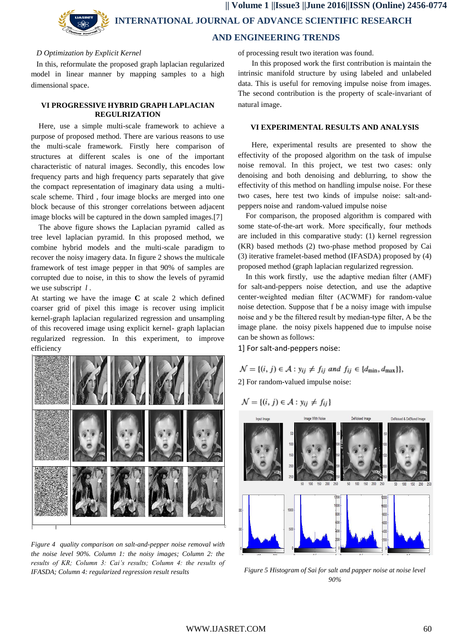## *D Optimization by Explicit Kernel*

In this, reformulate the proposed graph laplacian regularized model in linear manner by mapping samples to a high dimensional space.

## **VI PROGRESSIVE HYBRID GRAPH LAPLACIAN REGULRIZATION**

Here, use a simple multi-scale framework to achieve a purpose of proposed method. There are various reasons to use the multi-scale framework. Firstly here comparison of structures at different scales is one of the important characteristic of natural images. Secondly, this encodes low frequency parts and high frequency parts separately that give the compact representation of imaginary data using a multiscale scheme. Third , four image blocks are merged into one block because of this stronger correlations between adjacent image blocks will be captured in the down sampled images.[7]

The above figure shows the Laplacian pyramid called as tree level laplacian pyramid. In this proposed method, we combine hybrid models and the multi-scale paradigm to recover the noisy imagery data. In figure 2 shows the multicale framework of test image pepper in that 90% of samples are corrupted due to noise, in this to show the levels of pyramid we use subscrip*t l* .

At starting we have the image **C** at scale 2 which defined coarser grid of pixel this image is recover using implicit kernel-graph laplacian regularized regression and unsampling of this recovered image using explicit kernel- graph laplacian regularized regression. In this experiment, to improve efficiency



*Figure 4 quality comparison on salt-and-pepper noise removal with the noise level 90%. Column 1: the noisy images; Column 2: the results of KR; Column 3: Cai's results; Column 4: the results of IFASDA; Column 4: regularized regression result results*

of processing result two iteration was found.

In this proposed work the first contribution is maintain the intrinsic manifold structure by using labeled and unlabeled data. This is useful for removing impulse noise from images. The second contribution is the property of scale-invariant of natural image.

## **VI EXPERIMENTAL RESULTS AND ANALYSIS**

 Here, experimental results are presented to show the effectivity of the proposed algorithm on the task of impulse noise removal. In this project, we test two cases: only denoising and both denoising and deblurring, to show the effectivity of this method on handling impulse noise. For these two cases, here test two kinds of impulse noise: salt-andpeppers noise and random-valued impulse noise

For comparison, the proposed algorithm is compared with some state-of-the-art work. More specifically, four methods are included in this comparative study: (1) kernel regression (KR) based methods (2) two-phase method proposed by Cai (3) iterative framelet-based method (IFASDA) proposed by (4) proposed method (graph laplacian regularized regression.

In this work firstly, use the adaptive median filter (AMF) for salt-and-peppers noise detection, and use the adaptive center-weighted median filter (ACWMF) for random-value noise detection. Suppose that f be a noisy image with impulse noise and y be the filtered result by median-type filter, A be the image plane. the noisy pixels happened due to impulse noise can be shown as follows:

1] For salt-and-peppers noise:

 $\mathcal{N} = \{(i, j) \in \mathcal{A} : y_{ij} \neq f_{ij} \text{ and } f_{ij} \in \{d_{\min}, d_{\max}\}\},\$ 2] For random-valued impulse noise:

$$
\mathcal{N} = \{(i, j) \in \mathcal{A} : y_{ij} \neq f_{ij}\}
$$



*Figure 5 Histogram of Sai for salt and papper noise at noise level 90%*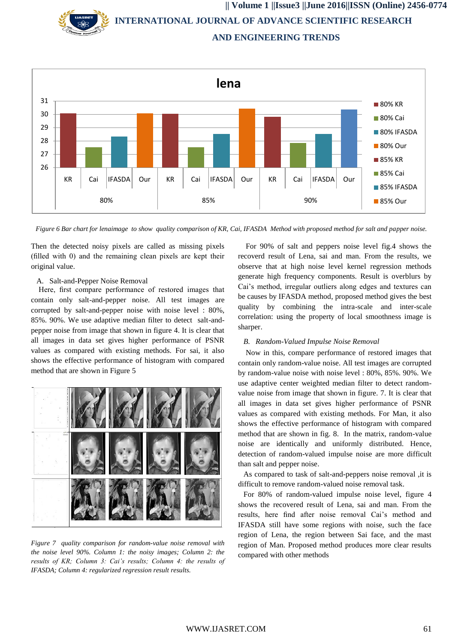**|| Volume 1 ||Issue3 ||June 2016||ISSN (Online) 2456-0774 INTERNATIONAL JOURNAL OF ADVANCE SCIENTIFIC RESEARCH AND ENGINEERING TRENDS**



*Figure 6 Bar chart for lenaimage to show quality comparison of KR, Cai, IFASDA Method with proposed method for salt and papper noise.*

Then the detected noisy pixels are called as missing pixels (filled with 0) and the remaining clean pixels are kept their original value.

#### A. Salt-and-Pepper Noise Removal

Here, first compare performance of restored images that contain only salt-and-pepper noise. All test images are corrupted by salt-and-pepper noise with noise level : 80%, 85%. 90%. We use adaptive median filter to detect salt-andpepper noise from image that shown in figure 4. It is clear that all images in data set gives higher performance of PSNR values as compared with existing methods. For sai, it also shows the effective performance of histogram with compared method that are shown in Figure 5



*Figure 7 quality comparison for random-value noise removal with the noise level 90%. Column 1: the noisy images; Column 2: the results of KR; Column 3: Cai's results; Column 4: the results of IFASDA; Column 4: regularized regression result results.*

For 90% of salt and peppers noise level fig.4 shows the recoverd result of Lena, sai and man. From the results, we observe that at high noise level kernel regression methods generate high frequency components. Result is overblurs by Cai's method, irregular outliers along edges and textures can be causes by IFASDA method, proposed method gives the best quality by combining the intra-scale and inter-scale correlation: using the property of local smoothness image is sharper.

#### *B. Random-Valued Impulse Noise Removal*

Now in this, compare performance of restored images that contain only random-value noise. All test images are corrupted by random-value noise with noise level : 80%, 85%. 90%. We use adaptive center weighted median filter to detect randomvalue noise from image that shown in figure. 7. It is clear that all images in data set gives higher performance of PSNR values as compared with existing methods. For Man, it also shows the effective performance of histogram with compared method that are shown in fig. 8. In the matrix, random-value noise are identically and uniformly distributed. Hence, detection of random-valued impulse noise are more difficult than salt and pepper noise.

As compared to task of salt-and-peppers noise removal ,it is difficult to remove random-valued noise removal task.

For 80% of random-valued impulse noise level, figure 4 shows the recovered result of Lena, sai and man. From the results, here find after noise removal Cai's method and IFASDA still have some regions with noise, such the face region of Lena, the region between Sai face, and the mast region of Man. Proposed method produces more clear results compared with other methods